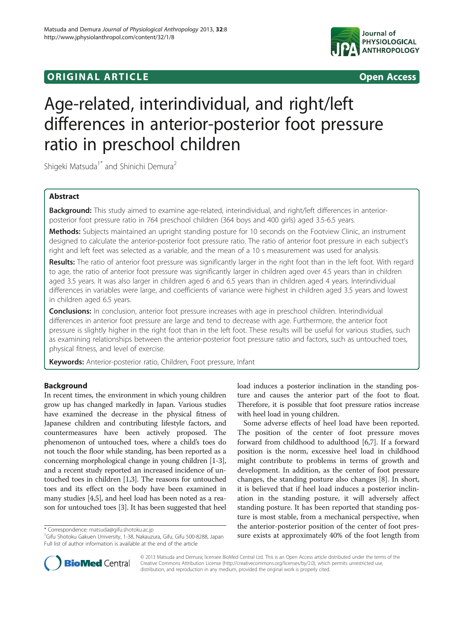# original and the open Access of the Open Access of the Open Access of the Open Access of the Open Access of the Open Access of the Open Access of the Open Access of the Open Access of the Open Access of the Open Access of



# Age-related, interindividual, and right/left differences in anterior-posterior foot pressure ratio in preschool children

Shigeki Matsuda<sup>1\*</sup> and Shinichi Demura<sup>2</sup>

# Abstract

Background: This study aimed to examine age-related, interindividual, and right/left differences in anteriorposterior foot pressure ratio in 764 preschool children (364 boys and 400 girls) aged 3.5-6.5 years.

Methods: Subjects maintained an upright standing posture for 10 seconds on the Footview Clinic, an instrument designed to calculate the anterior-posterior foot pressure ratio. The ratio of anterior foot pressure in each subject's right and left feet was selected as a variable, and the mean of a 10 s measurement was used for analysis.

Results: The ratio of anterior foot pressure was significantly larger in the right foot than in the left foot. With regard to age, the ratio of anterior foot pressure was significantly larger in children aged over 4.5 years than in children aged 3.5 years. It was also larger in children aged 6 and 6.5 years than in children aged 4 years. Interindividual differences in variables were large, and coefficients of variance were highest in children aged 3.5 years and lowest in children aged 6.5 years.

Conclusions: In conclusion, anterior foot pressure increases with age in preschool children. Interindividual differences in anterior foot pressure are large and tend to decrease with age. Furthermore, the anterior foot pressure is slightly higher in the right foot than in the left foot. These results will be useful for various studies, such as examining relationships between the anterior-posterior foot pressure ratio and factors, such as untouched toes, physical fitness, and level of exercise.

Keywords: Anterior-posterior ratio, Children, Foot pressure, Infant

# Background

In recent times, the environment in which young children grow up has changed markedly in Japan. Various studies have examined the decrease in the physical fitness of Japanese children and contributing lifestyle factors, and countermeasures have been actively proposed. The phenomenon of untouched toes, where a child's toes do not touch the floor while standing, has been reported as a concerning morphological change in young children [\[1](#page-6-0)-[3](#page-6-0)], and a recent study reported an increased incidence of untouched toes in children [\[1,3\]](#page-6-0). The reasons for untouched toes and its effect on the body have been examined in many studies [\[4,5](#page-6-0)], and heel load has been noted as a reason for untouched toes [\[3\]](#page-6-0). It has been suggested that heel

load induces a posterior inclination in the standing posture and causes the anterior part of the foot to float. Therefore, it is possible that foot pressure ratios increase with heel load in young children.

Some adverse effects of heel load have been reported. The position of the center of foot pressure moves forward from childhood to adulthood [\[6,7](#page-6-0)]. If a forward position is the norm, excessive heel load in childhood might contribute to problems in terms of growth and development. In addition, as the center of foot pressure changes, the standing posture also changes [[8](#page-6-0)]. In short, it is believed that if heel load induces a posterior inclination in the standing posture, it will adversely affect standing posture. It has been reported that standing posture is most stable, from a mechanical perspective, when the anterior-posterior position of the center of foot press Correspondence: [matsuda@gifu.shotoku.ac.jp](mailto:matsuda@gifu.shotoku.ac.jp) exists at approximately 40% of the foot length from \* Correspondence: matsuda@gifu.shotoku.ac.jp 1-38, Nakauzura, Gifu, Gifu 500-8288, Japan \* Sure exists at approximately 40% o



© 2013 Matsuda and Demura; licensee BioMed Central Ltd. This is an Open Access article distributed under the terms of the Creative Commons Attribution License (<http://creativecommons.org/licenses/by/2.0>), which permits unrestricted use, distribution, and reproduction in any medium, provided the original work is properly cited.

<sup>&</sup>lt;sup>1</sup>Gifu Shotoku Gakuen University, 1-38, Nakauzura, Gifu, Gifu 500-8288, Japan Full list of author information is available at the end of the article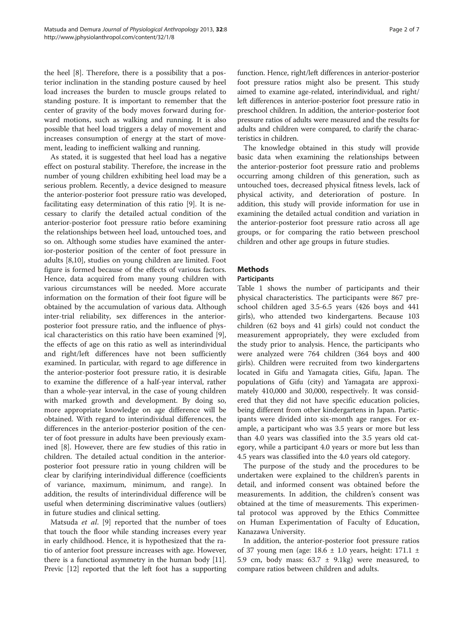the heel [[8\]](#page-6-0). Therefore, there is a possibility that a posterior inclination in the standing posture caused by heel load increases the burden to muscle groups related to standing posture. It is important to remember that the center of gravity of the body moves forward during forward motions, such as walking and running. It is also possible that heel load triggers a delay of movement and increases consumption of energy at the start of movement, leading to inefficient walking and running.

As stated, it is suggested that heel load has a negative effect on postural stability. Therefore, the increase in the number of young children exhibiting heel load may be a serious problem. Recently, a device designed to measure the anterior-posterior foot pressure ratio was developed, facilitating easy determination of this ratio [\[9](#page-6-0)]. It is necessary to clarify the detailed actual condition of the anterior-posterior foot pressure ratio before examining the relationships between heel load, untouched toes, and so on. Although some studies have examined the anterior-posterior position of the center of foot pressure in adults [[8](#page-6-0),[10](#page-6-0)], studies on young children are limited. Foot figure is formed because of the effects of various factors. Hence, data acquired from many young children with various circumstances will be needed. More accurate information on the formation of their foot figure will be obtained by the accumulation of various data. Although inter-trial reliability, sex differences in the anteriorposterior foot pressure ratio, and the influence of physical characteristics on this ratio have been examined [\[9](#page-6-0)], the effects of age on this ratio as well as interindividual and right/left differences have not been sufficiently examined. In particular, with regard to age difference in the anterior-posterior foot pressure ratio, it is desirable to examine the difference of a half-year interval, rather than a whole-year interval, in the case of young children with marked growth and development. By doing so, more appropriate knowledge on age difference will be obtained. With regard to interindividual differences, the differences in the anterior-posterior position of the center of foot pressure in adults have been previously examined [\[8](#page-6-0)]. However, there are few studies of this ratio in children. The detailed actual condition in the anteriorposterior foot pressure ratio in young children will be clear by clarifying interindividual difference (coefficients of variance, maximum, minimum, and range). In addition, the results of interindividual difference will be useful when determining discriminative values (outliers) in future studies and clinical setting.

Matsuda et al. [[9\]](#page-6-0) reported that the number of toes that touch the floor while standing increases every year in early childhood. Hence, it is hypothesized that the ratio of anterior foot pressure increases with age. However, there is a functional asymmetry in the human body [[11](#page-6-0)]. Previc [\[12\]](#page-6-0) reported that the left foot has a supporting function. Hence, right/left differences in anterior-posterior foot pressure ratios might also be present. This study aimed to examine age-related, interindividual, and right/ left differences in anterior-posterior foot pressure ratio in preschool children. In addition, the anterior-posterior foot pressure ratios of adults were measured and the results for adults and children were compared, to clarify the characteristics in children.

The knowledge obtained in this study will provide basic data when examining the relationships between the anterior-posterior foot pressure ratio and problems occurring among children of this generation, such as untouched toes, decreased physical fitness levels, lack of physical activity, and deterioration of posture. In addition, this study will provide information for use in examining the detailed actual condition and variation in the anterior-posterior foot pressure ratio across all age groups, or for comparing the ratio between preschool children and other age groups in future studies.

# **Methods**

#### **Participants**

Table [1](#page-2-0) shows the number of participants and their physical characteristics. The participants were 867 preschool children aged 3.5-6.5 years (426 boys and 441 girls), who attended two kindergartens. Because 103 children (62 boys and 41 girls) could not conduct the measurement appropriately, they were excluded from the study prior to analysis. Hence, the participants who were analyzed were 764 children (364 boys and 400 girls). Children were recruited from two kindergartens located in Gifu and Yamagata cities, Gifu, Japan. The populations of Gifu (city) and Yamagata are approximately 410,000 and 30,000, respectively. It was considered that they did not have specific education policies, being different from other kindergartens in Japan. Participants were divided into six-month age ranges. For example, a participant who was 3.5 years or more but less than 4.0 years was classified into the 3.5 years old category, while a participant 4.0 years or more but less than 4.5 years was classified into the 4.0 years old category.

The purpose of the study and the procedures to be undertaken were explained to the children's parents in detail, and informed consent was obtained before the measurements. In addition, the children's consent was obtained at the time of measurements. This experimental protocol was approved by the Ethics Committee on Human Experimentation of Faculty of Education, Kanazawa University.

In addition, the anterior-posterior foot pressure ratios of 37 young men (age:  $18.6 \pm 1.0$  years, height:  $171.1 \pm 1.0$ 5.9 cm, body mass:  $63.7 \pm 9.1$ kg) were measured, to compare ratios between children and adults.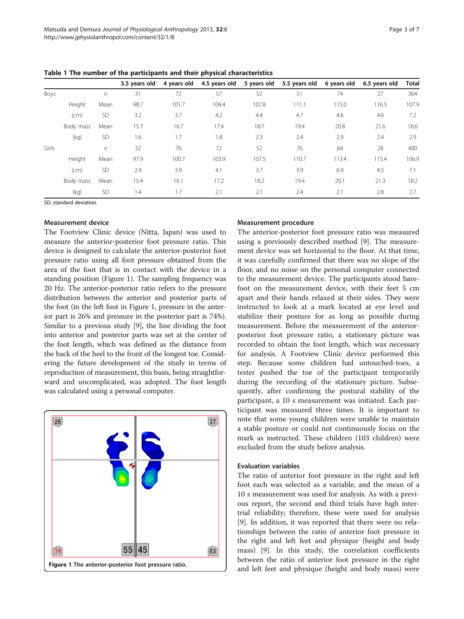|             |           |            | 3.5 years old | 4 years old | 4.5 years old | 5 years old | 5.5 years old | 6 years old | 6.5 years old | <b>Total</b> |
|-------------|-----------|------------|---------------|-------------|---------------|-------------|---------------|-------------|---------------|--------------|
| <b>Boys</b> |           | $\sqrt{n}$ | 31            | 72          | 57            | 52          | 51            | 74          | 27            | 364          |
|             | Height    | Mean       | 98.7          | 101.7       | 104.4         | 107.8       | 111.1         | 115.0       | 116.5         | 107.9        |
| Girls       | (cm)      | <b>SD</b>  | 3.2           | 3.7         | 4.2           | 4.4         | 4.7           | 4.6         | 4.6           | 7.2          |
|             | Body mass | Mean       | 15.7          | 16.7        | 17.4          | 18.7        | 19.4          | 20.8        | 21.6          | 18.6         |
|             | (kq)      | <b>SD</b>  | 1.6           | 1.7         | 1.8           | 2.3         | 2.4           | 2.9         | 2.4           | 2.9          |
|             |           | $\sqrt{n}$ | 32            | 76          | 72            | 52          | 76            | 64          | 28            | 400          |
|             | Height    | Mean       | 97.9          | 100.7       | 103.9         | 107.5       | 110.7         | 113.4       | 115.4         | 106.9        |
|             | (cm)      | <b>SD</b>  | 2.9           | 3.9         | 4.1           | 3.7         | 3.9           | 6.9         | 4.5           | 7.1          |
|             | Body mass | Mean       | 15.4          | 16.1        | 17.2          | 18.2        | 19.4          | 20.1        | 21.3          | 18.2         |
|             | (kq)      | <b>SD</b>  | 1.4           | 1.7         | 2.1           | 2.1         | 2.4           | 2.1         | 2.8           | 2.7          |
|             |           |            |               |             |               |             |               |             |               |              |

<span id="page-2-0"></span>Table 1 The number of the participants and their physical characteristics

SD, standard deviation.

# Measurement device

The Footview Clinic device (Nitta, Japan) was used to measure the anterior-posterior foot pressure ratio. This device is designed to calculate the anterior-posterior foot pressure ratio using all foot pressure obtained from the area of the foot that is in contact with the device in a standing position (Figure 1). The sampling frequency was 20 Hz. The anterior-posterior ratio refers to the pressure distribution between the anterior and posterior parts of the foot (in the left foot in Figure 1, pressure in the anterior part is 26% and pressure in the posterior part is 74%). Similar to a previous study [\[9](#page-6-0)], the line dividing the foot into anterior and posterior parts was set at the center of the foot length, which was defined as the distance from the back of the heel to the front of the longest toe. Considering the future development of the study in terms of reproduction of measurement, this basis, being straightforward and uncomplicated, was adopted. The foot length was calculated using a personal computer.



# Measurement procedure

The anterior-posterior foot pressure ratio was measured using a previously described method [\[9](#page-6-0)]. The measurement device was set horizontal to the floor. At that time, it was carefully confirmed that there was no slope of the floor, and no noise on the personal computer connected to the measurement device. The participants stood barefoot on the measurement device, with their feet 5 cm apart and their hands relaxed at their sides. They were instructed to look at a mark located at eye level and stabilize their posture for as long as possible during measurement. Before the measurement of the anteriorposterior foot pressure ratio, a stationary picture was recorded to obtain the foot length, which was necessary for analysis. A Footview Clinic device performed this step. Because some children had untouched-toes, a tester pushed the toe of the participant temporarily during the recording of the stationary picture. Subsequently, after confirming the postural stability of the participant, a 10 s measurement was initiated. Each participant was measured three times. It is important to note that some young children were unable to maintain a stable posture or could not continuously focus on the mark as instructed. These children (103 children) were excluded from the study before analysis.

# Evaluation variables

The ratio of anterior foot pressure in the right and left foot each was selected as a variable, and the mean of a 10 s measurement was used for analysis. As with a previous report, the second and third trials have high intertrial reliability; therefore, these were used for analysis [[9\]](#page-6-0). In addition, it was reported that there were no relationships between the ratio of anterior foot pressure in the right and left feet and physique (height and body mass) [[9\]](#page-6-0). In this study, the correlation coefficients between the ratio of anterior foot pressure in the right and left feet and physique (height and body mass) were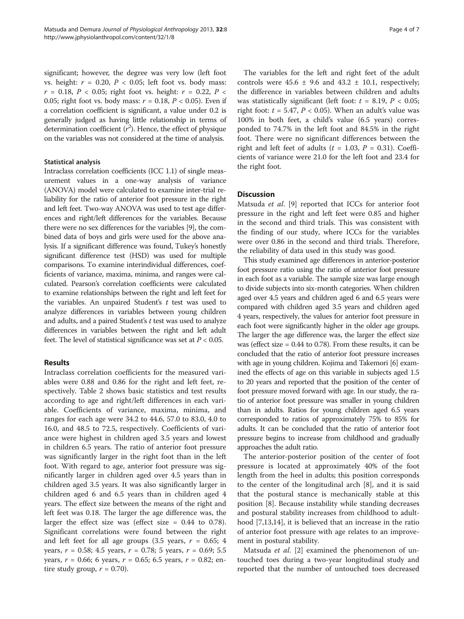significant; however, the degree was very low (left foot vs. height:  $r = 0.20$ ,  $P < 0.05$ ; left foot vs. body mass:  $r = 0.18$ ,  $P < 0.05$ ; right foot vs. height:  $r = 0.22$ ,  $P <$ 0.05; right foot vs. body mass:  $r = 0.18$ ,  $P < 0.05$ ). Even if a correlation coefficient is significant, a value under 0.2 is generally judged as having little relationship in terms of determination coefficient  $(r^2)$ . Hence, the effect of physique on the variables was not considered at the time of analysis.

#### Statistical analysis

Intraclass correlation coefficients (ICC 1.1) of single measurement values in a one-way analysis of variance (ANOVA) model were calculated to examine inter-trial reliability for the ratio of anterior foot pressure in the right and left feet. Two-way ANOVA was used to test age differences and right/left differences for the variables. Because there were no sex differences for the variables [\[9\]](#page-6-0), the combined data of boys and girls were used for the above analysis. If a significant difference was found, Tukey's honestly significant difference test (HSD) was used for multiple comparisons. To examine interindividual differences, coefficients of variance, maxima, minima, and ranges were calculated. Pearson's correlation coefficients were calculated to examine relationships between the right and left feet for the variables. An unpaired Student's  $t$  test was used to analyze differences in variables between young children and adults, and a paired Student's  $t$  test was used to analyze differences in variables between the right and left adult feet. The level of statistical significance was set at  $P < 0.05$ .

# Results

Intraclass correlation coefficients for the measured variables were 0.88 and 0.86 for the right and left feet, respectively. Table [2](#page-4-0) shows basic statistics and test results according to age and right/left differences in each variable. Coefficients of variance, maxima, minima, and ranges for each age were 34.2 to 44.6, 57.0 to 83.0, 4.0 to 16.0, and 48.5 to 72.5, respectively. Coefficients of variance were highest in children aged 3.5 years and lowest in children 6.5 years. The ratio of anterior foot pressure was significantly larger in the right foot than in the left foot. With regard to age, anterior foot pressure was significantly larger in children aged over 4.5 years than in children aged 3.5 years. It was also significantly larger in children aged 6 and 6.5 years than in children aged 4 years. The effect size between the means of the right and left feet was 0.18. The larger the age difference was, the larger the effect size was (effect size = 0.44 to 0.78). Significant correlations were found between the right and left feet for all age groups  $(3.5 \text{ years}, r = 0.65; 4)$ years,  $r = 0.58$ ; 4.5 years,  $r = 0.78$ ; 5 years,  $r = 0.69$ ; 5.5 years,  $r = 0.66$ ; 6 years,  $r = 0.65$ ; 6.5 years,  $r = 0.82$ ; entire study group,  $r = 0.70$ ).

The variables for the left and right feet of the adult controls were  $45.6 \pm 9.6$  and  $43.2 \pm 10.1$ , respectively; the difference in variables between children and adults was statistically significant (left foot:  $t = 8.19$ ,  $P < 0.05$ ; right foot:  $t = 5.47$ ,  $P < 0.05$ ). When an adult's value was 100% in both feet, a child's value (6.5 years) corresponded to 74.7% in the left foot and 84.5% in the right foot. There were no significant differences between the right and left feet of adults ( $t = 1.03$ ,  $P = 0.31$ ). Coefficients of variance were 21.0 for the left foot and 23.4 for the right foot.

# **Discussion**

Matsuda et al. [[9](#page-6-0)] reported that ICCs for anterior foot pressure in the right and left feet were 0.85 and higher in the second and third trials. This was consistent with the finding of our study, where ICCs for the variables were over 0.86 in the second and third trials. Therefore, the reliability of data used in this study was good.

This study examined age differences in anterior-posterior foot pressure ratio using the ratio of anterior foot pressure in each foot as a variable. The sample size was large enough to divide subjects into six-month categories. When children aged over 4.5 years and children aged 6 and 6.5 years were compared with children aged 3.5 years and children aged 4 years, respectively, the values for anterior foot pressure in each foot were significantly higher in the older age groups. The larger the age difference was, the larger the effect size was (effect size  $= 0.44$  to 0.78). From these results, it can be concluded that the ratio of anterior foot pressure increases with age in young children. Kojima and Takemori [[6](#page-6-0)] examined the effects of age on this variable in subjects aged 1.5 to 20 years and reported that the position of the center of foot pressure moved forward with age. In our study, the ratio of anterior foot pressure was smaller in young children than in adults. Ratios for young children aged 6.5 years corresponded to ratios of approximately 75% to 85% for adults. It can be concluded that the ratio of anterior foot pressure begins to increase from childhood and gradually approaches the adult ratio.

The anterior-posterior position of the center of foot pressure is located at approximately 40% of the foot length from the heel in adults; this position corresponds to the center of the longitudinal arch [[8\]](#page-6-0), and it is said that the postural stance is mechanically stable at this position [\[8](#page-6-0)]. Because instability while standing decreases and postural stability increases from childhood to adulthood [[7,13,14\]](#page-6-0), it is believed that an increase in the ratio of anterior foot pressure with age relates to an improvement in postural stability.

Matsuda *et al.* [\[2](#page-6-0)] examined the phenomenon of untouched toes during a two-year longitudinal study and reported that the number of untouched toes decreased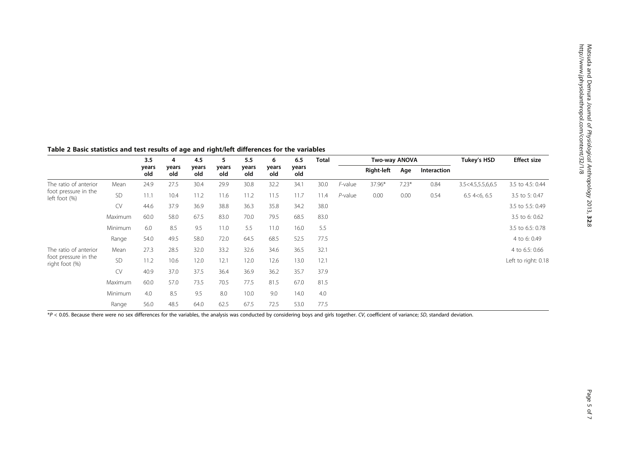|                                        |           | 3.5<br>years<br>old | 4<br>years<br>old | 4.5<br>years<br>old | 5.<br>years<br>old | 5.5<br>years<br>old | 6<br>years<br>old | 6.5<br>years<br>old | <b>Total</b> | Two-way ANOVA |            |         | Tukey's HSD | <b>Effect size</b>     |                     |
|----------------------------------------|-----------|---------------------|-------------------|---------------------|--------------------|---------------------|-------------------|---------------------|--------------|---------------|------------|---------|-------------|------------------------|---------------------|
|                                        |           |                     |                   |                     |                    |                     |                   |                     |              |               | Right-left | Age     | Interaction |                        |                     |
| The ratio of anterior                  | Mean      | 24.9                | 27.5              | 30.4                | 29.9               | 30.8                | 32.2              | 34.1                | 30.0         | F-value       | 37.96*     | $7.23*$ | 0.84        | 3.5 < 4.5, 5.5, 6, 6.5 | 3.5 to 4.5: 0.44    |
| foot pressure in the<br>left foot (%)  | SD        | 11.1                | 10.4              | 11.2                | 11.6               | 11.2                | 11.5              | 11.7                | 11.4         | $P$ -value    | 0.00       | 0.00    | 0.54        | $6.5$ 4 < 6, 6.5       | 3.5 to 5: 0.47      |
|                                        | <b>CV</b> | 44.6                | 37.9              | 36.9                | 38.8               | 36.3                | 35.8              | 34.2                | 38.0         |               |            |         |             |                        | 3.5 to 5.5: 0.49    |
|                                        | Maximum   | 60.0                | 58.0              | 67.5                | 83.0               | 70.0                | 79.5              | 68.5                | 83.0         |               |            |         |             |                        | 3.5 to 6: 0.62      |
|                                        | Minimum   | 6.0                 | 8.5               | 9.5                 | 11.0               | 5.5                 | 11.0              | 16.0                | 5.5          |               |            |         |             |                        | 3.5 to 6.5: 0.78    |
|                                        | Range     | 54.0                | 49.5              | 58.0                | 72.0               | 64.5                | 68.5              | 52.5                | 77.5         |               |            |         |             |                        | 4 to 6:0.49         |
| The ratio of anterior                  | Mean      | 27.3                | 28.5              | 32.0                | 33.2               | 32.6                | 34.6              | 36.5                | 32.1         |               |            |         |             |                        | 4 to 6.5: 0.66      |
| foot pressure in the<br>right foot (%) | SD        | 11.2                | 10.6              | 12.0                | 12.1               | 12.0                | 12.6              | 13.0                | 12.1         |               |            |         |             |                        | Left to right: 0.18 |
|                                        | <b>CV</b> | 40.9                | 37.0              | 37.5                | 36.4               | 36.9                | 36.2              | 35.7                | 37.9         |               |            |         |             |                        |                     |
|                                        | Maximum   | 60.0                | 57.0              | 73.5                | 70.5               | 77.5                | 81.5              | 67.0                | 81.5         |               |            |         |             |                        |                     |
|                                        | Minimum   | 4.0                 | 8.5               | 9.5                 | 8.0                | 10.0                | 9.0               | 14.0                | 4.0          |               |            |         |             |                        |                     |
|                                        | Range     | 56.0                | 48.5              | 64.0                | 62.5               | 67.5                | 72.5              | 53.0                | 77.5         |               |            |         |             |                        |                     |

# <span id="page-4-0"></span>Table 2 Basic statistics and test results of age and right/left differences for the variables

 $\overline{*}P$  < 0.05. Because there were no sex differences for the variables, the analysis was conducted by considering boys and girls together. CV, coefficient of variance; SD, standard deviation.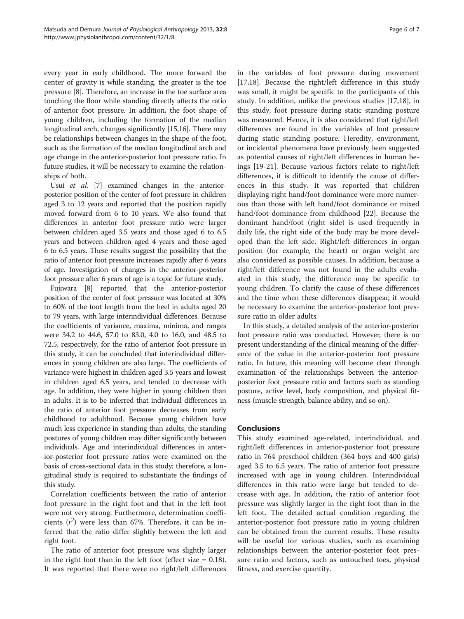every year in early childhood. The more forward the center of gravity is while standing, the greater is the toe pressure [\[8](#page-6-0)]. Therefore, an increase in the toe surface area touching the floor while standing directly affects the ratio of anterior foot pressure. In addition, the foot shape of young children, including the formation of the median longitudinal arch, changes significantly [[15,16](#page-6-0)]. There may be relationships between changes in the shape of the foot, such as the formation of the median longitudinal arch and age change in the anterior-posterior foot pressure ratio. In future studies, it will be necessary to examine the relationships of both.

Usui *et al.* [[7](#page-6-0)] examined changes in the anteriorposterior position of the center of foot pressure in children aged 3 to 12 years and reported that the position rapidly moved forward from 6 to 10 years. We also found that differences in anterior foot pressure ratio were larger between children aged 3.5 years and those aged 6 to 6.5 years and between children aged 4 years and those aged 6 to 6.5 years. These results suggest the possibility that the ratio of anterior foot pressure increases rapidly after 6 years of age. Investigation of changes in the anterior-posterior foot pressure after 6 years of age is a topic for future study.

Fujiwara [\[8](#page-6-0)] reported that the anterior-posterior position of the center of foot pressure was located at 30% to 60% of the foot length from the heel in adults aged 20 to 79 years, with large interindividual differences. Because the coefficients of variance, maxima, minima, and ranges were 34.2 to 44.6, 57.0 to 83.0, 4.0 to 16.0, and 48.5 to 72.5, respectively, for the ratio of anterior foot pressure in this study, it can be concluded that interindividual differences in young children are also large. The coefficients of variance were highest in children aged 3.5 years and lowest in children aged 6.5 years, and tended to decrease with age. In addition, they were higher in young children than in adults. It is to be inferred that individual differences in the ratio of anterior foot pressure decreases from early childhood to adulthood. Because young children have much less experience in standing than adults, the standing postures of young children may differ significantly between individuals. Age and interindividual differences in anterior-posterior foot pressure ratios were examined on the basis of cross-sectional data in this study; therefore, a longitudinal study is required to substantiate the findings of this study.

Correlation coefficients between the ratio of anterior foot pressure in the right foot and that in the left foot were not very strong. Furthermore, determination coefficients  $(r^2)$  were less than 67%. Therefore, it can be inferred that the ratio differ slightly between the left and right foot.

The ratio of anterior foot pressure was slightly larger in the right foot than in the left foot (effect size = 0.18). It was reported that there were no right/left differences in the variables of foot pressure during movement [[17,18\]](#page-6-0). Because the right/left difference in this study was small, it might be specific to the participants of this study. In addition, unlike the previous studies [\[17,18](#page-6-0)], in this study, foot pressure during static standing posture was measured. Hence, it is also considered that right/left differences are found in the variables of foot pressure during static standing posture. Heredity, environment, or incidental phenomena have previously been suggested as potential causes of right/left differences in human beings [[19](#page-6-0)-[21\]](#page-6-0). Because various factors relate to right/left differences, it is difficult to identify the cause of differences in this study. It was reported that children displaying right hand/foot dominance were more numerous than those with left hand/foot dominance or mixed hand/foot dominance from childhood [[22\]](#page-6-0). Because the dominant hand/foot (right side) is used frequently in daily life, the right side of the body may be more developed than the left side. Right/left differences in organ position (for example, the heart) or organ weight are also considered as possible causes. In addition, because a right/left difference was not found in the adults evaluated in this study, the difference may be specific to young children. To clarify the cause of these differences and the time when these differences disappear, it would be necessary to examine the anterior-posterior foot pressure ratio in older adults.

In this study, a detailed analysis of the anterior-posterior foot pressure ratio was conducted. However, there is no present understanding of the clinical meaning of the difference of the value in the anterior-posterior foot pressure ratio. In future, this meaning will become clear through examination of the relationships between the anteriorposterior foot pressure ratio and factors such as standing posture, active level, body composition, and physical fitness (muscle strength, balance ability, and so on).

#### Conclusions

This study examined age-related, interindividual, and right/left differences in anterior-posterior foot pressure ratio in 764 preschool children (364 boys and 400 girls) aged 3.5 to 6.5 years. The ratio of anterior foot pressure increased with age in young children. Interindividual differences in this ratio were large but tended to decrease with age. In addition, the ratio of anterior foot pressure was slightly larger in the right foot than in the left foot. The detailed actual condition regarding the anterior-posterior foot pressure ratio in young children can be obtained from the current results. These results will be useful for various studies, such as examining relationships between the anterior-posterior foot pressure ratio and factors, such as untouched toes, physical fitness, and exercise quantity.